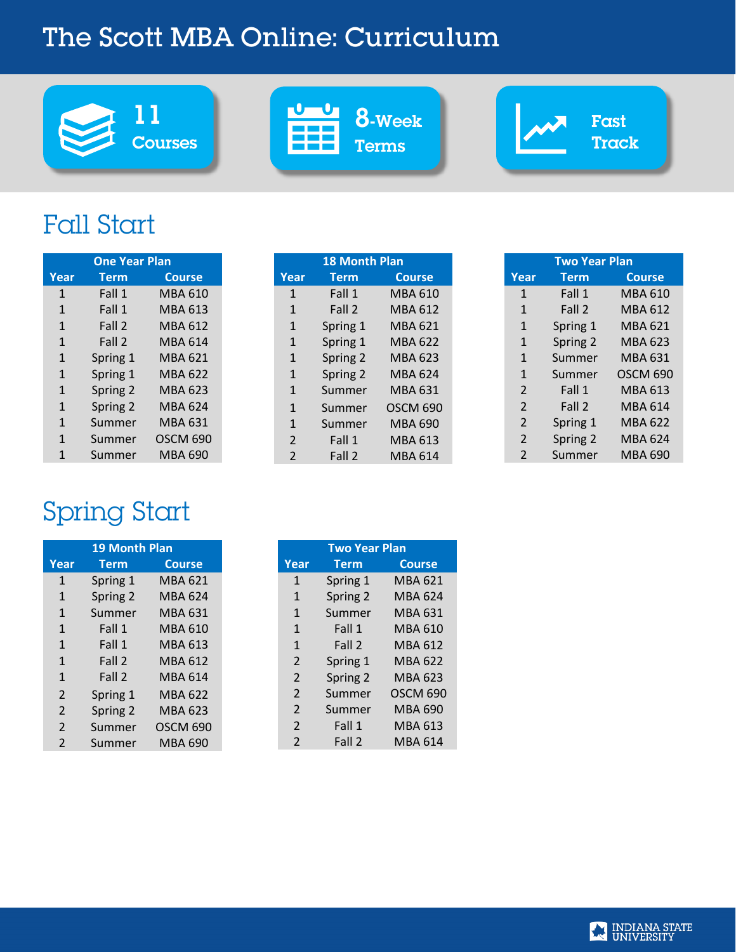# The Scott MBA Online: Curriculum





```
8-Week
Terms
```
Fast Track

# Fall Start

| <b>One Year Plan</b> |             |                 |  |  |
|----------------------|-------------|-----------------|--|--|
| Year                 | <b>Term</b> | <b>Course</b>   |  |  |
| $\mathbf{1}$         | Fall 1      | MBA 610         |  |  |
| $\mathbf{1}$         | Fall 1      | MBA 613         |  |  |
| $\mathbf{1}$         | Fall 2      | MBA 612         |  |  |
| $\mathbf{1}$         | Fall 2      | MBA 614         |  |  |
| $\mathbf{1}$         | Spring 1    | MBA 621         |  |  |
| $\mathbf{1}$         | Spring 1    | MBA 622         |  |  |
| $\mathbf{1}$         | Spring 2    | MBA 623         |  |  |
| $\mathbf{1}$         | Spring 2    | MBA 624         |  |  |
| $\mathbf{1}$         | Summer      | MBA 631         |  |  |
| $\mathbf{1}$         | Summer      | <b>OSCM 690</b> |  |  |
|                      | Summer      | MBA 690         |  |  |

# Spring Start

| <b>19 Month Plan</b> |             |                 |
|----------------------|-------------|-----------------|
| Year                 | <b>Term</b> | <b>Course</b>   |
| $\mathbf{1}$         | Spring 1    | <b>MBA 621</b>  |
| $\mathbf{1}$         | Spring 2    | <b>MBA 624</b>  |
| $\mathbf{1}$         | Summer      | <b>MBA 631</b>  |
| $\mathbf{1}$         | Fall 1      | MBA 610         |
| $\mathbf{1}$         | Fall 1      | <b>MBA 613</b>  |
| $\mathbf{1}$         | Fall 2      | <b>MBA 612</b>  |
| $\mathbf{1}$         | Fall 2      | <b>MBA 614</b>  |
| $\overline{2}$       | Spring 1    | <b>MBA 622</b>  |
| $\overline{2}$       | Spring 2    | <b>MBA 623</b>  |
| $\overline{2}$       | Summer      | <b>OSCM 690</b> |
| $\mathfrak{p}$       | Summer      | <b>MBA 690</b>  |

| <b>18 Month Plan</b> |             |                 |  |  |
|----------------------|-------------|-----------------|--|--|
| Year                 | <b>Term</b> | <b>Course</b>   |  |  |
| $\mathbf{1}$         | Fall 1      | MBA 610         |  |  |
| $\mathbf{1}$         | Fall 2      | MBA 612         |  |  |
| $\mathbf{1}$         | Spring 1    | <b>MBA 621</b>  |  |  |
| $\mathbf{1}$         | Spring 1    | MBA 622         |  |  |
| $\mathbf{1}$         | Spring 2    | MBA 623         |  |  |
| $\mathbf{1}$         | Spring 2    | <b>MBA 624</b>  |  |  |
| $\mathbf{1}$         | Summer      | <b>MBA 631</b>  |  |  |
| $\mathbf{1}$         | Summer      | <b>OSCM 690</b> |  |  |
| $\mathbf{1}$         | Summer      | MBA 690         |  |  |
| $\overline{2}$       | Fall 1      | MBA 613         |  |  |
| $\overline{2}$       | Fall 2      | MBA 614         |  |  |

| <b>Two Year Plan</b> |             |                 |  |  |
|----------------------|-------------|-----------------|--|--|
| Year                 | <b>Term</b> | <b>Course</b>   |  |  |
| $\mathbf{1}$         | Fall 1      | <b>MBA 610</b>  |  |  |
| $\mathbf{1}$         | Fall 2      | MBA 612         |  |  |
| $\mathbf{1}$         | Spring 1    | MBA 621         |  |  |
| $\mathbf{1}$         | Spring 2    | MBA 623         |  |  |
| $\mathbf{1}$         | Summer      | MBA 631         |  |  |
| $\mathbf{1}$         | Summer      | <b>OSCM 690</b> |  |  |
| $\overline{2}$       | Fall 1      | MBA 613         |  |  |
| $\mathfrak{D}$       | Fall 2      | MBA 614         |  |  |
| $\mathfrak{D}$       | Spring 1    | MBA 622         |  |  |
| $\mathfrak{D}$       | Spring 2    | MBA 624         |  |  |
| $\mathfrak{p}$       | Summer      | MBA 690         |  |  |

| <b>Two Year Plan</b>     |             |                 |  |  |
|--------------------------|-------------|-----------------|--|--|
| Year                     | <b>Term</b> | <b>Course</b>   |  |  |
| $\mathbf{1}$             | Spring 1    | MBA 621         |  |  |
| $\mathbf{1}$             | Spring 2    | <b>MBA 624</b>  |  |  |
| $\mathbf{1}$             | Summer      | <b>MBA 631</b>  |  |  |
| $\mathbf{1}$             | Fall 1      | MBA 610         |  |  |
| $\mathbf{1}$             | Fall 2      | MBA 612         |  |  |
| $\overline{2}$           | Spring 1    | MBA 622         |  |  |
| $\overline{2}$           | Spring 2    | <b>MBA 623</b>  |  |  |
| $\mathfrak{D}$           | Summer      | <b>OSCM 690</b> |  |  |
| $\overline{\phantom{a}}$ | Summer      | MBA 690         |  |  |
| $\overline{2}$           | Fall 1      | MBA 613         |  |  |
| $\mathfrak{p}$           | Fall 2      | MBA 614         |  |  |